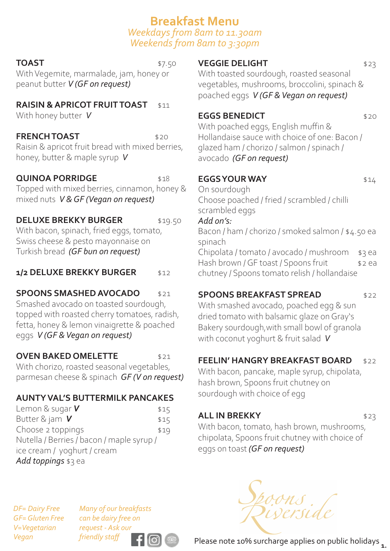## **Breakfast Menu**  *Weekdays from 8am to 11.30am Weekends from 8am to 3:30pm*

#### **TOAST** \$7.50

With Vegemite, marmalade, jam, honey or peanut butter *V (GF on request)*

## **RAISIN & APRICOT FRUIT TOAST** \$11

With honey butter*V*

### **FRENCH TOAST** \$20

Raisin & apricot fruit bread with mixed berries, honey, butter & maple syrup *V* 

### **QUINOA PORRIDGE** \$18

Topped with mixed berries, cinnamon, honey & mixed nuts *V & GF (Vegan on request)* 

## **DELUXE BREKKY BURGER** \$19.50

With bacon, spinach, fried eggs, tomato, Swiss cheese & pesto mayonnaise on Turkish bread *(GF bun on request)*

#### **1/2 DELUXE BREKKY BURGER** \$12

## **SPOONS SMASHED AVOCADO** \$21

Smashed avocado on toasted sourdough, topped with roasted cherry tomatoes, radish, fetta, honey & lemon vinaigrette & poached eggs *V (GF & Vegan on request)*

#### **OVEN BAKED OMELETTE** \$21

With chorizo, roasted seasonal vegetables, parmesan cheese & spinach *GF (V on request)*

#### **AUNTY VAL'S BUTTERMILK PANCAKES**

| Lemon & sugar $\boldsymbol{V}$            | \$15 |
|-------------------------------------------|------|
| Butter & jam $V$                          | \$15 |
| Choose 2 toppings                         | \$19 |
| Nutella / Berries / bacon / maple syrup / |      |
| ice cream / yoghurt / cream               |      |
| Add toppings \$3 ea                       |      |

## **VEGGIE DELIGHT** \$23

With toasted sourdough, roasted seasonal vegetables, mushrooms, broccolini, spinach & poached eggs *V (GF & Vegan on request)*

#### **EGGS BENEDICT** \$20

With poached eggs, English muffin & Hollandaise sauce with choice of one: Bacon / glazed ham / chorizo / salmon / spinach / avocado *(GF on request)*

## **EGGS YOUR WAY** \$14

On sourdough Choose poached / fried / scrambled / chilli scrambled eggs *Add on's:*  Bacon / ham / chorizo / smoked salmon / \$4.50 ea spinach Chipolata / tomato / avocado / mushroom \$3 ea Hash brown / GF toast / Spoons fruit \$2 ea chutney / Spoons tomato relish / hollandaise

## **SPOONS BREAKFAST SPREAD** \$22

With smashed avocado, poached egg & sun dried tomato with balsamic glaze on Gray's Bakery sourdough,with small bowl of granola with coconut yoghurt & fruit salad *V*

## **FEELIN' HANGRY BREAKFAST BOARD** \$22

With bacon, pancake, maple syrup, chipolata, hash brown, Spoons fruit chutney on sourdough with choice of egg

#### **ALL IN BREKKY** \$23

With bacon, tomato, hash brown, mushrooms, chipolata, Spoons fruit chutney with choice of eggs on toast *(GF on request)* 

*DF= Dairy Free GF= Gluten Free V=Vegetarian Vegan*

*Many of our breakfasts can be dairy free on request - Ask our friendly staff*

Poons<br>Diserside

Please note 10% surcharge applies on public holidays **1.**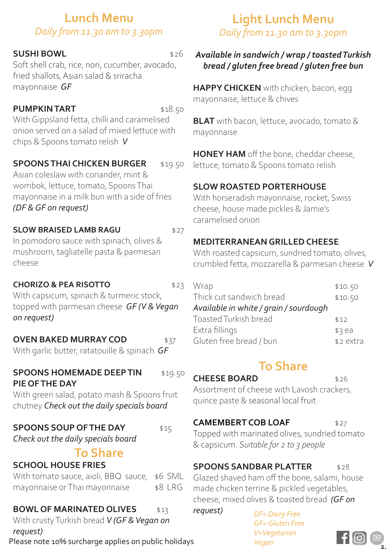## **Lunch Menu**  *Daily from 11.30 am to 3.30pm*

## **SUSHI BOWL** \$26

Soft shell crab, rice, nori, cucumber, avocado, fried shallots, Asian salad & sriracha mayonnaise *GF* 

## **PUMPKIN TART** \$18.50

With Gippsland fetta, chilli and caramelised onion served on a salad of mixed lettuce with chips & Spoons tomato relish *V*

## **SPOONS THAI CHICKEN BURGER** \$19.50

Asian coleslaw with coriander, mint & wombok, lettuce, tomato, Spoons Thai mayonnaise in a milk bun with a side of fries *(DF & GF on request)* 

### **SLOW BRAISED LAMB RAGU**  $$27$

In pomodoro sauce with spinach, olives & mushroom, tagliatelle pasta & parmesan cheese

## **CHORIZO & PEA RISOTTO** \$23

With capsicum, spinach & turmeric stock, topped with parmesan cheese *GF (V & Vegan on request)*

## **OVEN BAKED MURRAY COD** \$37

With garlic butter, ratatouille & spinach *GF*

## **SPOONS HOMEMADE DEEP TIN** \$19.50 **PIE OF THE DAY**

With green salad, potato mash & Spoons fruit chutney *Check out the daily specials board* 

## **SPOONS SOUP OF THE DAY** \$15

*Check out the daily specials board* 

## **To Share**

## **SCHOOL HOUSE FRIES**

With tomato sauce, aioli, BBQ sauce, \$6 SML mayonnaise or Thai mayonnaise \$8 LRG

# **BOWL OF MARINATED OLIVES** \$13

With crusty Turkish bread *V (GF & Vegan on request)* 

# Please note 10% surcharge applies on public holidays *Vegan*

# **Light Lunch Menu**  *Daily from 11.30 am to 3.30pm*

## *Available in sandwich / wrap / toasted Turkish bread / gluten free bread / gluten free bun*

**HAPPY CHICKEN** with chicken, bacon, egg mayonnaise, lettuce & chives

**BLAT** with bacon, lettuce, avocado, tomato & mayonnaise

**HONEY HAM** off the bone, cheddar cheese, lettuce, tomato & Spoons tomato relish

## **SLOW ROASTED PORTERHOUSE**

With horseradish mayonnaise, rocket, Swiss cheese, house made pickles & Jamie's caramelised onion

## **MEDITERRANEAN GRILLED CHEESE**

With roasted capsicum, sundried tomato, olives, crumbled fetta, mozzarella & parmesan cheese *V* 

| Wrap                                   | \$10.50   |
|----------------------------------------|-----------|
| Thick cut sandwich bread               | \$10.50   |
| Available in white / grain / sourdough |           |
| Toasted Turkish bread                  | \$12      |
| Extra fillings                         | \$3e      |
| Gluten free bread / bun                | \$2 extra |

# **To Share**

**CHEESE BOARD** \$26

Assortment of cheese with Lavosh crackers, quince paste & seasonal local fruit

## **CAMEMBERT COB LOAF** \$27

Topped with marinated olives, sundried tomato & capsicum. *Suitable for 2 to 3 people* 

## **SPOONS SANDBAR PLATTER** \$28

Glazed shaved ham off the bone, salami, house made chicken terrine & pickled vegetables, cheese, mixed olives & toasted bread *(GF on* 

*request) DF= Dairy Free GF= Gluten Free V=Vegetarian*

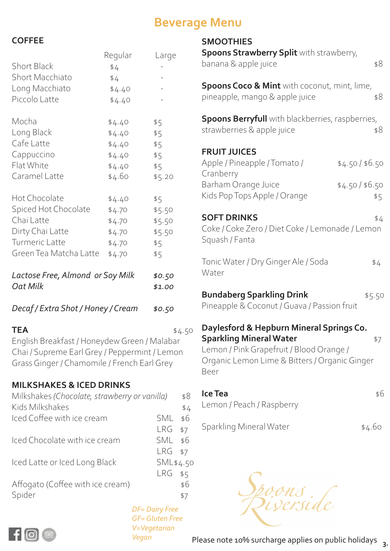# **Beverage Menu**

**SMOOTHIES**

## **COFFEE**

|                                                     | Regular          | Large  |
|-----------------------------------------------------|------------------|--------|
| <b>Short Black</b>                                  | \$4              |        |
| <b>Short Macchiato</b>                              | \$4              |        |
| Long Macchiato                                      | \$4.40           |        |
| Piccolo Latte                                       | \$4.40           |        |
| Mocha                                               | \$4.40           | \$5    |
| Long Black                                          | \$4.40           | \$5    |
| Cafe Latte                                          | \$4.40           | \$5    |
| Cappuccino                                          | \$4.40           | \$5    |
| Flat White                                          | \$4.40           | \$5    |
| Caramel Latte                                       | \$4.60           | \$5.20 |
| Hot Chocolate                                       | \$4.40           | \$5    |
| Spiced Hot Chocolate                                | \$4.70           | \$5.50 |
| Chai Latte                                          | \$4.70           | \$5.50 |
| Dirty Chai Latte                                    | \$4.70           | \$5.50 |
| Turmeric Latte                                      | \$4.70           | \$5    |
| Green Tea Matcha Latte                              | \$4.70           | \$5    |
| Lactose Free, Almond or Soy Milk<br><b>Oat Milk</b> | \$0.50<br>\$1.00 |        |
| Decaf / Extra Shot / Honey / Cream                  | \$0.50           |        |

**TEA**  $$4.50$ English Breakfast / Honeydew Green / Malabar Chai / Supreme Earl Grey / Peppermint / Lemon Grass Ginger / Chamomile / French Earl Grey

## **MILKSHAKES & ICED DRINKS**

| Milkshakes (Chocolate, strawberry or vanilla) |                       | \$8 |
|-----------------------------------------------|-----------------------|-----|
| Kids Milkshakes                               |                       | \$4 |
| Iced Coffee with ice cream                    | <b>SML</b>            | \$6 |
|                                               | $LRG$ \$7             |     |
| Iced Chocolate with ice cream                 | SML \$6               |     |
|                                               | $LRG$ \$7             |     |
| Iced Latte or Iced Long Black                 | SML\$4.50             |     |
|                                               | LRG                   | \$5 |
| Affogato (Coffee with ice cream)              |                       | \$6 |
| Spider                                        |                       | \$7 |
|                                               | <b>DF= Dairy Free</b> |     |

**FRUIT JUICES Cranberry** Squash / Fanta Water Beer *GF= Gluten Free*

*V=Vegetarian*

*Vegan*

 $\mathsf{f}$   $\mathsf{G}$ 

Please note 10% surcharge applies on public holidays **3.**

ons<br>verside

| <b>Spoons Strawberry Split</b> with strawberry,<br>banana & apple juice                                                                                                         | \$8    |
|---------------------------------------------------------------------------------------------------------------------------------------------------------------------------------|--------|
| <b>Spoons Coco &amp; Mint</b> with coconut, mint, lime,<br>pineapple, mango & apple juice                                                                                       | \$8    |
| <b>Spoons Berryfull</b> with blackberries, raspberries,<br>strawberries & apple juice                                                                                           | \$8    |
| <b>FRUIT JUICES</b><br>Apple / Pineapple / Tomato /<br>\$4.50/ \$6.50<br>Cranberry<br>Barham Orange Juice<br>\$4.50/ \$6.50<br>Kids Pop Tops Apple / Orange                     | \$5    |
| <b>SOFT DRINKS</b><br>Coke / Coke Zero / Diet Coke / Lemonade / Lemon<br>Squash / Fanta                                                                                         | \$4    |
| Tonic Water / Dry Ginger Ale / Soda<br>Water                                                                                                                                    | \$4    |
| <b>Bundaberg Sparkling Drink</b><br>Pineapple & Coconut / Guava / Passion fruit                                                                                                 | \$5.50 |
| Daylesford & Hepburn Mineral Springs Co.<br><b>Sparkling Mineral Water</b><br>Lemon / Pink Grapefruit / Blood Orange /<br>Organic Lemon Lime & Bitters / Organic Ginger<br>Beer | \$7    |
| Ice Tea<br>Lemon / Peach / Raspberry                                                                                                                                            | \$6    |
| Sparkling Mineral Water                                                                                                                                                         | \$4.60 |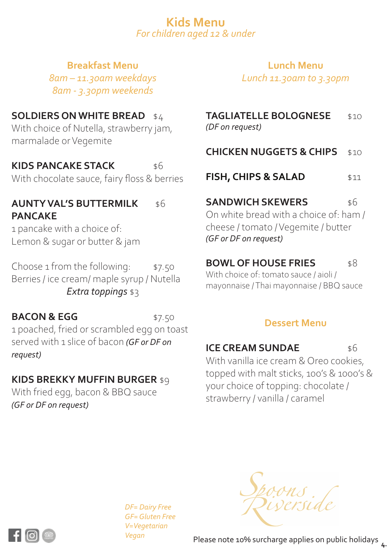## **Kids Menu**  *For children aged 12 & under*

## **Breakfast Menu**

*8am – 11.30am weekdays 8am - 3.30pm weekends*

## **SOLDIERS ON WHITE BREAD** \$4

With choice of Nutella, strawberry jam, marmalade or Vegemite

## **KIDS PANCAKE STACK** \$6

With chocolate sauce, fairy floss & berries

## **AUNTY VAL'S BUTTERMILK** \$6 **PANCAKE**

1 pancake with a choice of: Lemon & sugar or butter & jam

Choose  $1$  from the following:  $\qquad$  \$7.50 Berries / ice cream/ maple syrup / Nutella *Extra toppings* \$3

**BACON & EGG** \$7.50 1 poached, fried or scrambled egg on toast served with 1 slice of bacon *(GF or DF on request)* 

## **KIDS BREKKY MUFFIN BURGER** \$9

With fried egg, bacon & BBQ sauce *(GF or DF on request)* 

# **Lunch Menu**

*Lunch 11.30am to 3.30pm*

| <b>TAGLIATELLE BOLOGNESE</b> | \$10 |
|------------------------------|------|
| (DF on request)              |      |

- **CHICKEN NUGGETS & CHIPS** \$10
- **FISH, CHIPS & SALAD** \$11

**SANDWICH SKEWERS** \$6 On white bread with a choice of: ham / cheese / tomato / Vegemite / butter *(GF or DF on request)* 

## **BOWL OF HOUSE FRIES** \$8

With choice of: tomato sauce / aioli / mayonnaise / Thai mayonnaise / BBQ sauce

## **Dessert Menu**

## **ICE CREAM SUNDAE** \$6

With vanilla ice cream & Oreo cookies, topped with malt sticks, 100's & 1000's & your choice of topping: chocolate / strawberry / vanilla / caramel

*DF= Dairy Free GF= Gluten Free V=Vegetarian Vegan*





Please note 10% surcharge applies on public holidays **4.**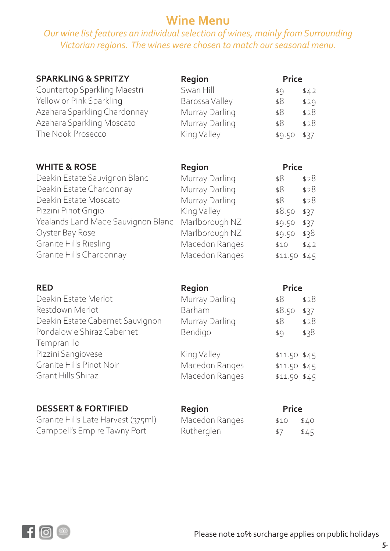## **Wine Menu**

## *Our wine list features an individual selection of wines, mainly from Surrounding Victorian regions. The wines were chosen to match our seasonal menu.*

| <b>SPARKLING &amp; SPRITZY</b>                 | Region         | <b>Price</b>  |      |
|------------------------------------------------|----------------|---------------|------|
| Countertop Sparkling Maestri                   | Swan Hill      | \$9           | \$42 |
| Yellow or Pink Sparkling                       | Barossa Valley | \$8           | \$29 |
| Azahara Sparkling Chardonnay                   | Murray Darling | \$8           | \$28 |
| Azahara Sparkling Moscato<br>The Nook Prosecco | Murray Darling | \$8           | \$28 |
|                                                | King Valley    | \$9.50        | \$37 |
| <b>WHITE &amp; ROSE</b>                        | Region         | <b>Price</b>  |      |
| Deakin Estate Sauvignon Blanc                  | Murray Darling | \$8           | \$28 |
| Deakin Estate Chardonnay                       | Murray Darling | \$8           | \$28 |
| Deakin Estate Moscato                          | Murray Darling | \$8           | \$28 |
| Pizzini Pinot Grigio                           | King Valley    | \$8.50        | \$37 |
| Yealands Land Made Sauvignon Blanc             | Marlborough NZ | \$9.50        | \$37 |
| Oyster Bay Rose                                | Marlborough NZ | \$9.50        | \$38 |
| Granite Hills Riesling                         | Macedon Ranges | \$10          | \$42 |
| Granite Hills Chardonnay                       | Macedon Ranges | \$11.50 \$45  |      |
| <b>RED</b>                                     | Region         | <b>Price</b>  |      |
| Deakin Estate Merlot                           | Murray Darling | \$8           | \$28 |
| Restdown Merlot                                | Barham         | \$8.50        | \$37 |
| Deakin Estate Cabernet Sauvignon               | Murray Darling | \$8           | \$28 |
| Pondalowie Shiraz Cabernet<br>Tempranillo      | Bendigo        | \$9           | \$38 |
| Pizzini Sangiovese                             | King Valley    | \$11.50 \$45  |      |
| Granite Hills Pinot Noir                       | Macedon Ranges | $$11.50$ \$45 |      |
| <b>Grant Hills Shiraz</b>                      | Macedon Ranges | \$11.50 \$45  |      |
| <b>DESSERT &amp; FORTIFIED</b>                 | Region         | Price         |      |

Granite Hills Late Harvest (375ml) Campbell's Empire Tawny Port

Macedon Ranges \$10 \$40 Rutherglen \$7 \$45